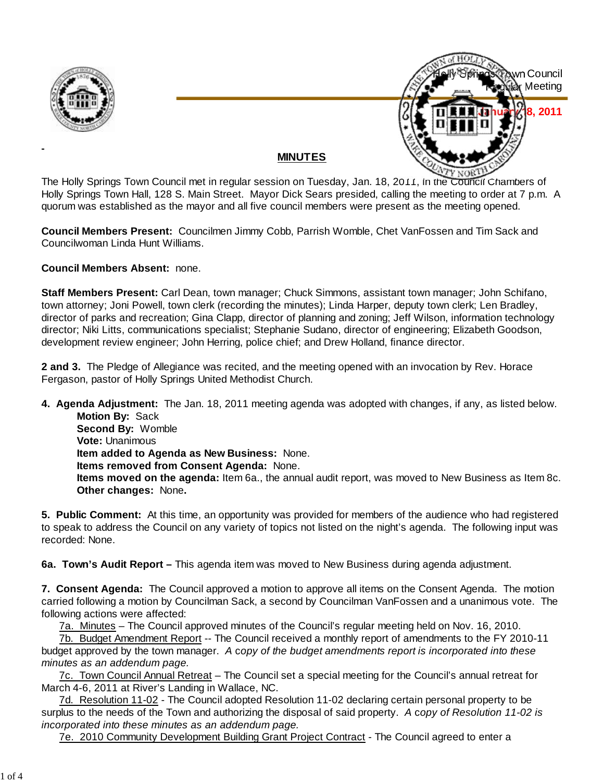



## **MINUTES**

The Holly Springs Town Council met in regular session on Tuesday, Jan. 18, 2011, in the Council Chambers of Holly Springs Town Hall, 128 S. Main Street. Mayor Dick Sears presided, calling the meeting to order at 7 p.m. A quorum was established as the mayor and all five council members were present as the meeting opened.

**Council Members Present:** Councilmen Jimmy Cobb, Parrish Womble, Chet VanFossen and Tim Sack and Councilwoman Linda Hunt Williams.

**Council Members Absent:** none.

**Staff Members Present:** Carl Dean, town manager; Chuck Simmons, assistant town manager; John Schifano, town attorney; Joni Powell, town clerk (recording the minutes); Linda Harper, deputy town clerk; Len Bradley, director of parks and recreation; Gina Clapp, director of planning and zoning; Jeff Wilson, information technology director; Niki Litts, communications specialist; Stephanie Sudano, director of engineering; Elizabeth Goodson, development review engineer; John Herring, police chief; and Drew Holland, finance director.

**2 and 3.** The Pledge of Allegiance was recited, and the meeting opened with an invocation by Rev. Horace Fergason, pastor of Holly Springs United Methodist Church.

**4. Agenda Adjustment:** The Jan. 18, 2011 meeting agenda was adopted with changes, if any, as listed below. **Motion By: Sack** 

 **Second By:** Womble **Vote:** Unanimous **Item added to Agenda as New Business:** None. **Items removed from Consent Agenda:** None. **Items moved on the agenda:** Item 6a., the annual audit report, was moved to New Business as Item 8c. **Other changes:** None**.**

**5. Public Comment:** At this time, an opportunity was provided for members of the audience who had registered to speak to address the Council on any variety of topics not listed on the night's agenda. The following input was recorded: None.

**6a. Town's Audit Report –** This agenda item was moved to New Business during agenda adjustment.

**7. Consent Agenda:** The Council approved a motion to approve all items on the Consent Agenda. The motion carried following a motion by Councilman Sack, a second by Councilman VanFossen and a unanimous vote. The following actions were affected:

7a. Minutes – The Council approved minutes of the Council's regular meeting held on Nov. 16, 2010.

7b. Budget Amendment Report -- The Council received a monthly report of amendments to the FY 2010-11 budget approved by the town manager. *A* c*opy of the budget amendments report is incorporated into these minutes as an addendum page.*

7c. Town Council Annual Retreat – The Council set a special meeting for the Council's annual retreat for March 4-6, 2011 at River's Landing in Wallace, NC.

7d. Resolution 11-02 - The Council adopted Resolution 11-02 declaring certain personal property to be surplus to the needs of the Town and authorizing the disposal of said property. *A* c*opy of Resolution 11-02 is incorporated into these minutes as an addendum page.*

7e. 2010 Community Development Building Grant Project Contract - The Council agreed to enter a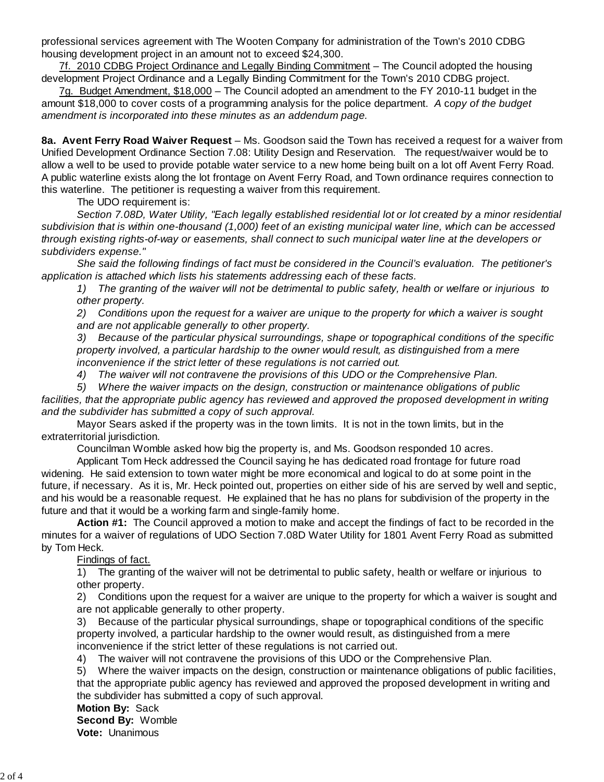professional services agreement with The Wooten Company for administration of the Town's 2010 CDBG housing development project in an amount not to exceed \$24,300.

7f. 2010 CDBG Project Ordinance and Legally Binding Commitment – The Council adopted the housing development Project Ordinance and a Legally Binding Commitment for the Town's 2010 CDBG project.

7g. Budget Amendment, \$18,000 – The Council adopted an amendment to the FY 2010-11 budget in the amount \$18,000 to cover costs of a programming analysis for the police department. *A* c*opy of the budget amendment is incorporated into these minutes as an addendum page.*

**8a. Avent Ferry Road Waiver Request** – Ms. Goodson said the Town has received a request for a waiver from Unified Development Ordinance Section 7.08: Utility Design and Reservation. The request/waiver would be to allow a well to be used to provide potable water service to a new home being built on a lot off Avent Ferry Road. A public waterline exists along the lot frontage on Avent Ferry Road, and Town ordinance requires connection to this waterline. The petitioner is requesting a waiver from this requirement.

The UDO requirement is:

*Section 7.08D, Water Utility, "Each legally established residential lot or lot created by a minor residential subdivision that is within one-thousand (1,000) feet of an existing municipal water line, which can be accessed through existing rights-of-way or easements, shall connect to such municipal water line at the developers or subdividers expense."*

 *She said the following findings of fact must be considered in the Council's evaluation. The petitioner's application is attached which lists his statements addressing each of these facts.*

*1) The granting of the waiver will not be detrimental to public safety, health or welfare or injurious to other property.*

*2) Conditions upon the request for a waiver are unique to the property for which a waiver is sought and are not applicable generally to other property.*

*3) Because of the particular physical surroundings, shape or topographical conditions of the specific property involved, a particular hardship to the owner would result, as distinguished from a mere inconvenience if the strict letter of these regulations is not carried out.*

*4) The waiver will not contravene the provisions of this UDO or the Comprehensive Plan.*

*5) Where the waiver impacts on the design, construction or maintenance obligations of public*

*facilities, that the appropriate public agency has reviewed and approved the proposed development in writing and the subdivider has submitted a copy of such approval.*

Mayor Sears asked if the property was in the town limits. It is not in the town limits, but in the extraterritorial jurisdiction.

Councilman Womble asked how big the property is, and Ms. Goodson responded 10 acres.

Applicant Tom Heck addressed the Council saying he has dedicated road frontage for future road widening. He said extension to town water might be more economical and logical to do at some point in the future, if necessary. As it is, Mr. Heck pointed out, properties on either side of his are served by well and septic, and his would be a reasonable request. He explained that he has no plans for subdivision of the property in the future and that it would be a working farm and single-family home.

 **Action #1:** The Council approved a motion to make and accept the findings of fact to be recorded in the minutes for a waiver of regulations of UDO Section 7.08D Water Utility for 1801 Avent Ferry Road as submitted by Tom Heck.

## Findings of fact.

1) The granting of the waiver will not be detrimental to public safety, health or welfare or injurious to other property.

2) Conditions upon the request for a waiver are unique to the property for which a waiver is sought and are not applicable generally to other property.

3) Because of the particular physical surroundings, shape or topographical conditions of the specific property involved, a particular hardship to the owner would result, as distinguished from a mere inconvenience if the strict letter of these regulations is not carried out.

4) The waiver will not contravene the provisions of this UDO or the Comprehensive Plan.

5) Where the waiver impacts on the design, construction or maintenance obligations of public facilities, that the appropriate public agency has reviewed and approved the proposed development in writing and the subdivider has submitted a copy of such approval.

**Motion By:** Sack

**Second By:** Womble **Vote:** Unanimous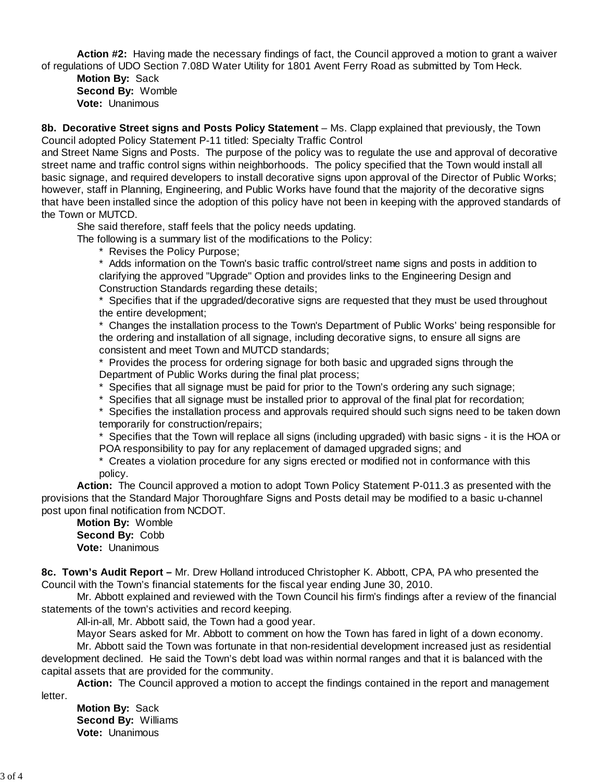**Action #2:** Having made the necessary findings of fact, the Council approved a motion to grant a waiver of regulations of UDO Section 7.08D Water Utility for 1801 Avent Ferry Road as submitted by Tom Heck.

**Motion By:** Sack **Second By:** Womble **Vote:** Unanimous

**8b. Decorative Street signs and Posts Policy Statement** – Ms. Clapp explained that previously, the Town Council adopted Policy Statement P-11 titled: Specialty Traffic Control

and Street Name Signs and Posts. The purpose of the policy was to regulate the use and approval of decorative street name and traffic control signs within neighborhoods. The policy specified that the Town would install all basic signage, and required developers to install decorative signs upon approval of the Director of Public Works; however, staff in Planning, Engineering, and Public Works have found that the majority of the decorative signs that have been installed since the adoption of this policy have not been in keeping with the approved standards of the Town or MUTCD.

She said therefore, staff feels that the policy needs updating.

The following is a summary list of the modifications to the Policy:

\* Revises the Policy Purpose;

\* Adds information on the Town's basic traffic control/street name signs and posts in addition to clarifying the approved "Upgrade" Option and provides links to the Engineering Design and Construction Standards regarding these details;

\* Specifies that if the upgraded/decorative signs are requested that they must be used throughout the entire development;

\* Changes the installation process to the Town's Department of Public Works' being responsible for the ordering and installation of all signage, including decorative signs, to ensure all signs are consistent and meet Town and MUTCD standards;

\* Provides the process for ordering signage for both basic and upgraded signs through the Department of Public Works during the final plat process;

\* Specifies that all signage must be paid for prior to the Town's ordering any such signage;

\* Specifies that all signage must be installed prior to approval of the final plat for recordation;

\* Specifies the installation process and approvals required should such signs need to be taken down temporarily for construction/repairs;

\* Specifies that the Town will replace all signs (including upgraded) with basic signs - it is the HOA or POA responsibility to pay for any replacement of damaged upgraded signs; and

\* Creates a violation procedure for any signs erected or modified not in conformance with this policy.

 **Action:** The Council approved a motion to adopt Town Policy Statement P-011.3 as presented with the provisions that the Standard Major Thoroughfare Signs and Posts detail may be modified to a basic u-channel post upon final notification from NCDOT.

**Motion By:** Womble **Second By:** Cobb **Vote:** Unanimous

**8c. Town's Audit Report –** Mr. Drew Holland introduced Christopher K. Abbott, CPA, PA who presented the Council with the Town's financial statements for the fiscal year ending June 30, 2010.

 Mr. Abbott explained and reviewed with the Town Council his firm's findings after a review of the financial statements of the town's activities and record keeping.

All-in-all, Mr. Abbott said, the Town had a good year.

Mayor Sears asked for Mr. Abbott to comment on how the Town has fared in light of a down economy. Mr. Abbott said the Town was fortunate in that non-residential development increased just as residential development declined. He said the Town's debt load was within normal ranges and that it is balanced with the capital assets that are provided for the community.

**Action:** The Council approved a motion to accept the findings contained in the report and management

letter.

**Motion By:** Sack **Second By:** Williams **Vote:** Unanimous